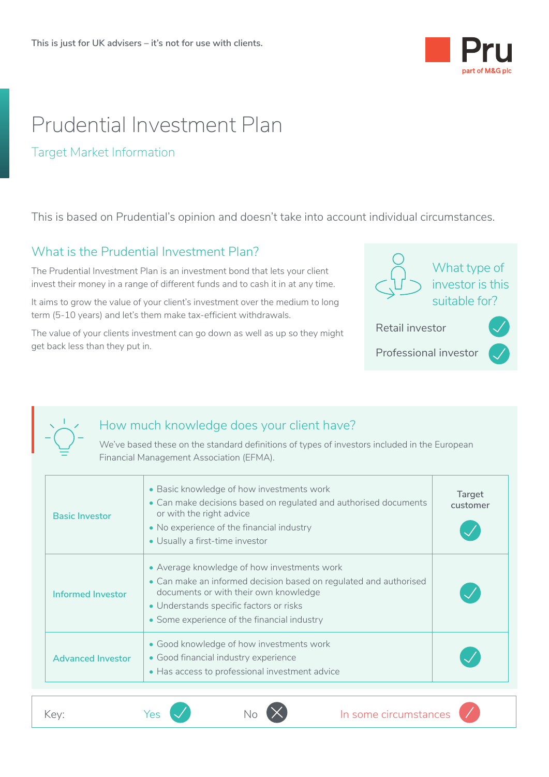

# Prudential Investment Plan

#### Target Market Information

This is based on Prudential's opinion and doesn't take into account individual circumstances.

## What is the Prudential Investment Plan?

The Prudential Investment Plan is an investment bond that lets your client invest their money in a range of different funds and to cash it in at any time.

It aims to grow the value of your client's investment over the medium to long term (5-10 years) and let's them make tax-efficient withdrawals.

The value of your clients investment can go down as well as up so they might get back less than they put in.



<u>• Indian Propinsi Pa</u>



### How much knowledge does your client have?

We've based these on the standard definitions of types of investors included in the European Financial Management Association (EFMA).

|      | <b>Basic Investor</b>    | • Basic knowledge of how investments work<br>• Can make decisions based on regulated and authorised documents<br>or with the right advice<br>• No experience of the financial industry<br>• Usually a first-time investor                           | Target<br>customer |
|------|--------------------------|-----------------------------------------------------------------------------------------------------------------------------------------------------------------------------------------------------------------------------------------------------|--------------------|
|      | Informed Investor        | • Average knowledge of how investments work<br>• Can make an informed decision based on regulated and authorised<br>documents or with their own knowledge<br>• Understands specific factors or risks<br>• Some experience of the financial industry |                    |
|      | <b>Advanced Investor</b> | • Good knowledge of how investments work<br>• Good financial industry experience<br>• Has access to professional investment advice                                                                                                                  |                    |
| Key: |                          | In some circumstances<br>Yes                                                                                                                                                                                                                        |                    |
|      |                          |                                                                                                                                                                                                                                                     |                    |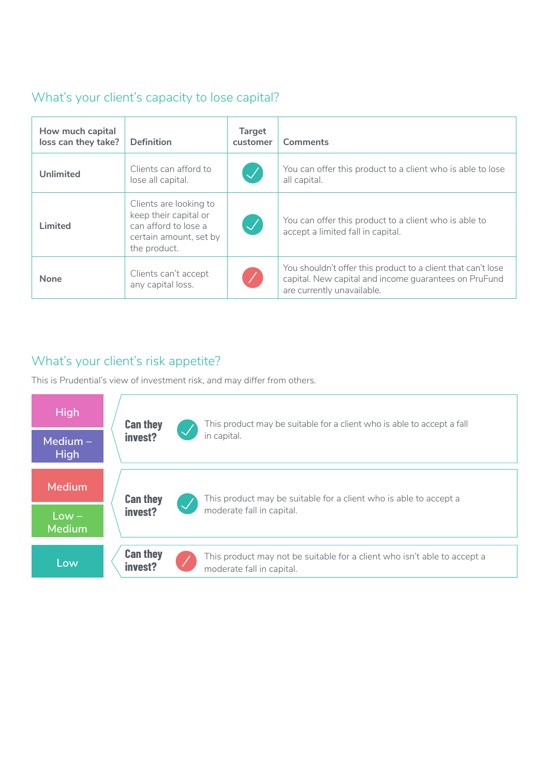## What's your client's capacity to lose capital?

| How much capital<br>loss can they take? | <b>Definition</b>                                                                                                 | <b>Target</b><br>customer  | Comments                                                                                                                                            |
|-----------------------------------------|-------------------------------------------------------------------------------------------------------------------|----------------------------|-----------------------------------------------------------------------------------------------------------------------------------------------------|
| <b>Unlimited</b>                        | Clients can afford to<br>lose all capital.                                                                        | $\bigvee$                  | You can offer this product to a client who is able to lose<br>all capital.                                                                          |
| Limited                                 | Clients are looking to<br>keep their capital or<br>can afford to lose a<br>certain amount, set by<br>the product. | $\boldsymbol{\mathcal{J}}$ | You can offer this product to a client who is able to<br>accept a limited fall in capital.                                                          |
| <b>None</b>                             | Clients can't accept<br>any capital loss.                                                                         |                            | You shouldn't offer this product to a client that can't lose<br>capital. New capital and income quarantees on PruFund<br>are currently unavailable. |
|                                         |                                                                                                                   |                            |                                                                                                                                                     |

## What's your client's risk appetite?

This is Prudential's view of investment risk, and may differ from others.

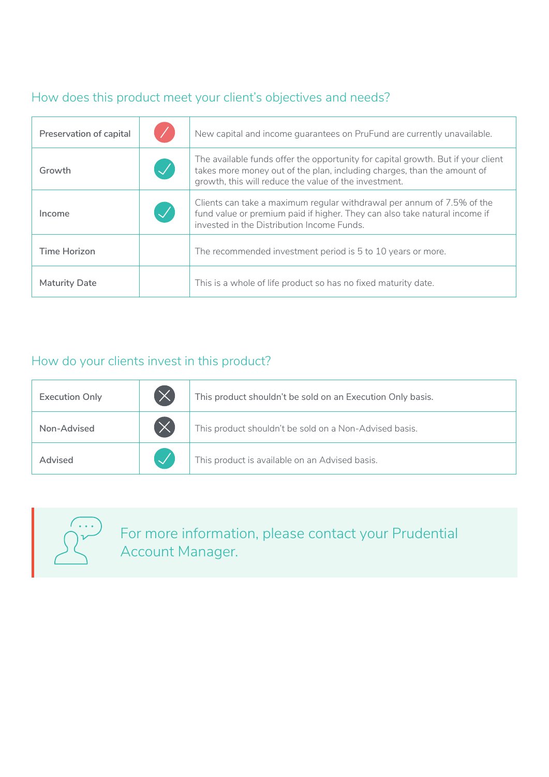# How does this product meet your client's objectives and needs?

| Preservation of capital |           | New capital and income quarantees on PruFund are currently unavailable.                                                                                                                                              |  |  |
|-------------------------|-----------|----------------------------------------------------------------------------------------------------------------------------------------------------------------------------------------------------------------------|--|--|
| Growth                  | $\bigvee$ | The available funds offer the opportunity for capital growth. But if your client<br>takes more money out of the plan, including charges, than the amount of<br>growth, this will reduce the value of the investment. |  |  |
| Income                  | $\bigvee$ | Clients can take a maximum regular withdrawal per annum of 7.5% of the<br>fund value or premium paid if higher. They can also take natural income if<br>invested in the Distribution Income Funds.                   |  |  |
| Time Horizon            |           | The recommended investment period is 5 to 10 years or more.                                                                                                                                                          |  |  |
| <b>Maturity Date</b>    |           | This is a whole of life product so has no fixed maturity date.                                                                                                                                                       |  |  |

# How do your clients invest in this product?

| <b>Execution Only</b> | This product shouldn't be sold on an Execution Only basis. |
|-----------------------|------------------------------------------------------------|
| Non-Advised           | This product shouldn't be sold on a Non-Advised basis.     |
| Advised               | This product is available on an Advised basis.             |
|                       |                                                            |



For more information, please contact your Prudential Account Manager.